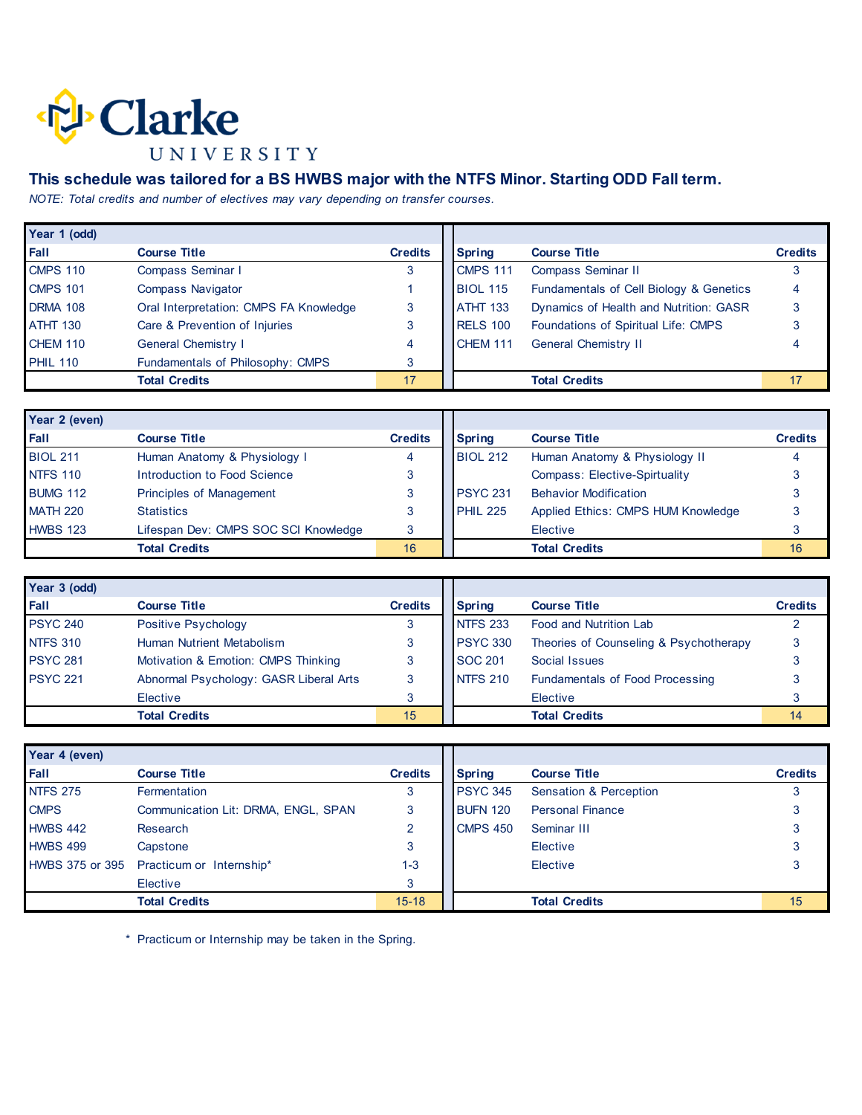

## **This schedule was tailored for a BS HWBS major with the NTFS Minor. Starting ODD Fall term.**

*NOTE: Total credits and number of electives may vary depending on transfer courses.* 

| Year 1 (odd)    |                                        |                |                 |                                         |                |
|-----------------|----------------------------------------|----------------|-----------------|-----------------------------------------|----------------|
| Fall            | <b>Course Title</b>                    | <b>Credits</b> | <b>Spring</b>   | <b>Course Title</b>                     | <b>Credits</b> |
| <b>CMPS 110</b> | Compass Seminar I                      |                | <b>CMPS 111</b> | Compass Seminar II                      |                |
| <b>CMPS 101</b> | <b>Compass Navigator</b>               |                | <b>BIOL 115</b> | Fundamentals of Cell Biology & Genetics | 4              |
| <b>DRMA 108</b> | Oral Interpretation: CMPS FA Knowledge | 3              | <b>ATHT 133</b> | Dynamics of Health and Nutrition: GASR  |                |
| <b>ATHT 130</b> | Care & Prevention of Injuries          | 3              | <b>RELS 100</b> | Foundations of Spiritual Life: CMPS     |                |
| <b>CHEM 110</b> | <b>General Chemistry I</b>             | 4              | CHEM 111        | <b>General Chemistry II</b>             |                |
| <b>PHIL 110</b> | Fundamentals of Philosophy: CMPS       | 3              |                 |                                         |                |
|                 | <b>Total Credits</b>                   | 17             |                 | <b>Total Credits</b>                    | 17             |

| Year 2 (even)   |                                      |                |                 |                                    |                |
|-----------------|--------------------------------------|----------------|-----------------|------------------------------------|----------------|
| <b>Fall</b>     | <b>Course Title</b>                  | <b>Credits</b> | <b>Spring</b>   | <b>Course Title</b>                | <b>Credits</b> |
| <b>BIOL 211</b> | Human Anatomy & Physiology I         |                | <b>BIOL 212</b> | Human Anatomy & Physiology II      |                |
| <b>NTFS 110</b> | Introduction to Food Science         |                |                 | Compass: Elective-Spirtuality      |                |
| <b>BUMG 112</b> | Principles of Management             |                | <b>PSYC 231</b> | <b>Behavior Modification</b>       |                |
| <b>MATH 220</b> | <b>Statistics</b>                    |                | <b>PHIL 225</b> | Applied Ethics: CMPS HUM Knowledge |                |
| <b>HWBS 123</b> | Lifespan Dev: CMPS SOC SCI Knowledge |                |                 | Elective                           |                |
|                 | <b>Total Credits</b>                 | 16             |                 | <b>Total Credits</b>               | 16             |

| Year 3 (odd)    |                                        |                |                 |                                        |                |
|-----------------|----------------------------------------|----------------|-----------------|----------------------------------------|----------------|
| <b>Fall</b>     | <b>Course Title</b>                    | <b>Credits</b> | <b>Spring</b>   | <b>Course Title</b>                    | <b>Credits</b> |
| <b>PSYC 240</b> | Positive Psychology                    |                | <b>NTFS 233</b> | <b>Food and Nutrition Lab</b>          |                |
| <b>NTFS 310</b> | Human Nutrient Metabolism              |                | <b>PSYC 330</b> | Theories of Counseling & Psychotherapy |                |
| <b>PSYC 281</b> | Motivation & Emotion: CMPS Thinking    |                | <b>SOC 201</b>  | Social Issues                          |                |
| <b>PSYC 221</b> | Abnormal Psychology: GASR Liberal Arts |                | <b>NTFS 210</b> | <b>Fundamentals of Food Processing</b> |                |
|                 | Elective                               |                |                 | Elective                               |                |
|                 | <b>Total Credits</b>                   | 15             |                 | <b>Total Credits</b>                   | 14             |

| Year 4 (even)   |                                          |                |                 |                         |                |
|-----------------|------------------------------------------|----------------|-----------------|-------------------------|----------------|
| Fall            | <b>Course Title</b>                      | <b>Credits</b> | <b>Spring</b>   | <b>Course Title</b>     | <b>Credits</b> |
| <b>NTFS 275</b> | Fermentation                             | 3              | <b>PSYC 345</b> | Sensation & Perception  |                |
| <b>CMPS</b>     | Communication Lit: DRMA, ENGL, SPAN      | 3              | <b>BUFN 120</b> | <b>Personal Finance</b> |                |
| <b>HWBS 442</b> | Research                                 | ◠              | CMPS 450        | Seminar III             |                |
| <b>HWBS 499</b> | Capstone                                 | 3              |                 | Elective                |                |
|                 | HWBS 375 or 395 Practicum or Internship* | 1-3            |                 | Elective                |                |
|                 | Elective                                 | 3              |                 |                         |                |
|                 | <b>Total Credits</b>                     | $15 - 18$      |                 | <b>Total Credits</b>    | 15             |

\* Practicum or Internship may be taken in the Spring.